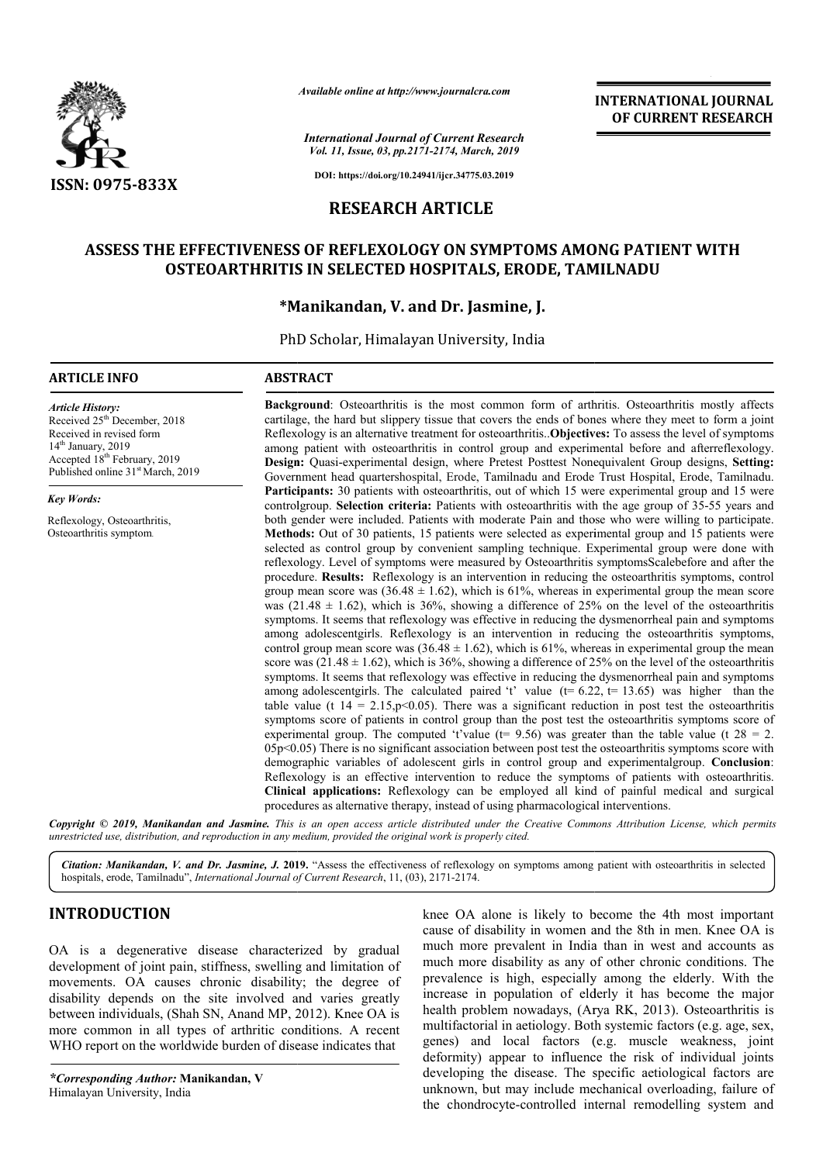

*Available online at http://www.journalcra.com*

*International Journal of Current Research Vol. 11, Issue, 03, pp.2171-2174, March, 2019*

**INTERNATIONAL JOURNAL OF CURRENT RESEARCH**

**DOI: https://doi.org/10.24941/ijcr.34775.03.2019**

# **RESEARCH ARTICLE**

# **ASSESS THE EFFECTIVENESS OF REFLEXOLOGY ON SYMPTOMS AMONG PATIENT WITH ASSESS OF REFLEXOLOGY PATIENT WITH HOSPITALS, ERODE, TAMILNADUOSTEOARTHRITIS IN SELECTED HOSPITALS, ERODE, TAMILNADU**

# **\*Manikandan Manikandan, V. and Dr. Jasmine, J.**

PhD Scholar Scholar, Himalayan University, India

#### **ARTICLE INFO ABSTRACT**

Received 25<sup>th</sup> December, 2018 Received in revised form 14<sup>th</sup> January, 2019 Accepted 18<sup>th</sup> February, 2019 Published online 31<sup>st</sup> March, 2019

Reflexology, Osteoarthritis, Osteoarthritis symptom.

*Article History:*

*Key Words:*

**Background** : Osteoarthritis is the most common form of arthritis. Osteoarthritis mostly affects Background: Osteoarthritis is the most common form of arthritis. Osteoarthritis mostly affects cartilage, the hard but slippery tissue that covers the ends of bones where they meet to form a joint Reflexology is an alternative treatment for osteoarthritis..**Objectives:** To assess the level of symptoms among patient with osteoarthritis in control group and experimental before and afterreflexology. Design: Quasi-experimental design, where Pretest Posttest Nonequivalent Group designs, Setting: Government head quartershospital, Erode, Tamilnadu and Erode Trust Hospital, Erode, Tamilnadu. Participants: 30 patients with osteoarthritis, out of which 15 were experimental group and 15 were **Participants:** 30 patients with osteoarthritis, out of which 15 were experimental group and 15 were controlgroup. Selection criteria: Patients with osteoarthritis with the age group of 35-55 years and both gender were included. Patients with moderate Pain and those who were willing to participate. **Methods:** Out of 30 patients, 15 patients were selected as experimental group and 15 patients were selected as control group by convenient sampling technique. Experimental group were done with reflexology. Level of symptoms were measured by Osteoarthritis symptomsScalebefore and after the procedure. **Results:** Reflexology is an intervention in reducing the osteoart group mean score was  $(36.48 \pm 1.62)$ , which is 61%, whereas in experimental group the mean score group mean score was  $(36.48 \pm 1.62)$ , which is 61%, whereas in experimental group the mean score was  $(21.48 \pm 1.62)$ , which is 36%, showing a difference of 25% on the level of the osteoarthritis symptoms. It seems that reflexology was effective in reducing the dysmenorrheal pain and symptoms among adolescentgirls. Reflexology is an intervention in reducing the osteoarthritis symptoms, control group mean score was  $(36.48 \pm 1.62)$ , which is 61%, whereas in experimental group the mean score was (21.48  $\pm$  1.62), which is 36%, showing a difference of 25% on the level of the osteoarthritis symptoms. It seems that reflexology was effective in reducing the dysmenorrheal pain and symptoms score was (21.48  $\pm$  1.62), which is 36%, showing a difference of 25% on the level of the osteoarthritis symptoms. It seems that reflexology was effective in reducing the dysmenorrheal pain and symptoms among adolescentg table value (t  $14 = 2.15$ , p $\leq 0.05$ ). There was a significant reduction in post test the osteoarthritis symptoms score of patients in control group than the post test the osteoarthritis symptoms score of experimental group. The computed 't'value ( $t= 9.56$ ) was greater than the table value (t  $28 = 2$ .  $05p<0.05$ ) There is no significant association between post test the osteoarthritis symptoms score with demographic variables of adolescent girls in control group and experimentalgroup. Conclusion: Reflexology is an effective intervention to reduce the symptoms of patients with osteoarthritis. **Clinical applications:** Reflexology can be employed all kind of painful medical and surgical procedures as alternative therapy, instead of using pharmacological interventions both gender were included. Patients with moderate Pain and those who were willing to participate. **Methods:** Out of 30 patients, 15 patients were selected as experimental group and 15 patients were selected as control grou symptoms. It seems that reflexology was effective in reducing the dysmenorrheal pain and symptoms among adolescentgirls. Reflexology is an intervention in reducing the osteoarthritis symptoms, control group mean score was symptoms. It seems that reflexology was effective in reducing the dysmenorrheal pain and symptoms<br>among adolescentgirls. The calculated paired 't' value (t= 6.22, t= 13.65) was higher than the<br>table value (t  $14 = 2.15$ ,p< Reflexology is an effective intervention to reduce the symptoms of patients with osteoarthritis.<br>**Clinical applications:** Reflexology can be employed all kind of painful medical and surgical procedures as alternative thera **EXERCTS (EXERCTS (FOR ALCTS (FOR ALCTS (FOR ALCTS (FOR ALCTS)<br>
Externed of CURRENT RESEARCH (For about controlled system and the system and the discussion of a different controlled system and**  $\mathbf{F}$  **and**  $\mathbf{F}$  **and \** 

Copyright © 2019, Manikandan and Jasmine. This is an open access article distributed under the Creative Commons Attribution License, which permits *unrestricted use, distribution, and reproduction in any medium, provided the original work is properly cited.*

Citation: Manikandan, V. and Dr. Jasmine, J. 2019. "Assess the effectiveness of reflexology on symptoms among patient with osteoarthritis in selected hospitals, erode, Tamilnadu", *International Journal of Current Research*, 11, (03), 2171-2174.

# **INTRODUCTION**

OA is a degenerative disease characterized by gradual development of joint pain, stiffness, swelling and limitation of movements. OA causes chronic disability; the degree of disability depends on the site involved and varies greatly between individuals, (Shah SN, Anand MP, 2012). Knee OA is more common in all types of arthritic conditions. A recent WHO report on the worldwide burden of disease indicates that

*\*Corresponding Author:* **Manikandan, V** Himalayan University, India

knee OA alone is likely to become the 4th most important cause of disability in women and the 8th in men. Knee OA is much more prevalent in India than in west and accounts as much more disability as any of other chronic conditions. The prevalence is high, especially among the elderly. With the increase in population of elderly it has become the major health problem nowadays, (Arya RK, 2013). Osteoarthritis is prevalence is high, especially among the elderly. With the increase in population of elderly it has become the major health problem nowadays, (Arya RK, 2013). Osteoarthritis is multifactorial in aetiology. Both systemic fa genes) and local factors (e.g. muscle weakness, joint deformity) appear to influence the risk of individual joints developing the disease. The specific aetiological factors are unknown, but may include mechanical overloading, failure of the chondrocyte-controlled internal remodelling system and OA alone is likely to become the 4th most important of disability in women and the 8th in men. Knee OA is more prevalent in India than in west and accounts as more disability as any of other chronic conditions. The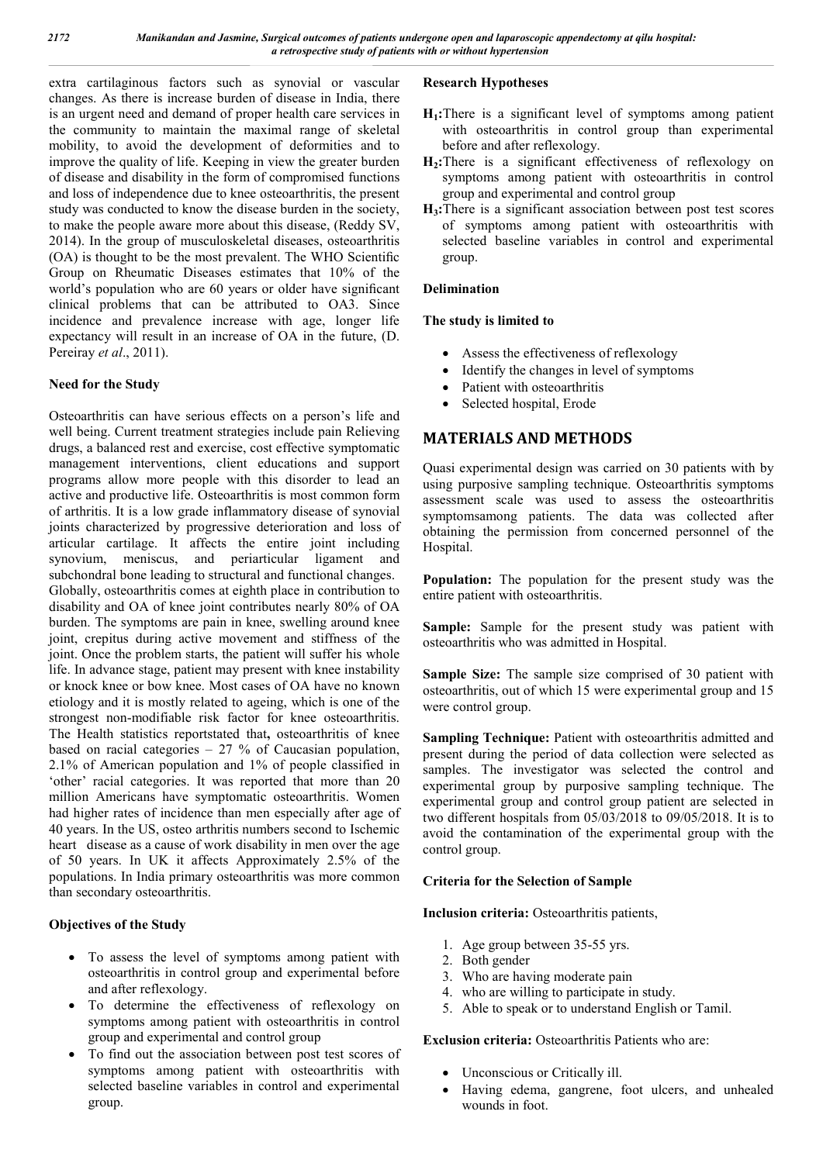extra cartilaginous factors such as synovial or vascular changes. As there is increase burden of disease in India, there is an urgent need and demand of proper health care services in the community to maintain the maximal range of skeletal mobility, to avoid the development of deformities and to improve the quality of life. Keeping in view the greater burden of disease and disability in the form of compromised functions and loss of independence due to knee osteoarthritis, the present study was conducted to know the disease burden in the society, to make the people aware more about this disease, (Reddy SV, 2014). In the group of musculoskeletal diseases, osteoarthritis (OA) is thought to be the most prevalent. The WHO Scientific Group on Rheumatic Diseases estimates that 10% of the world's population who are 60 years or older have significant clinical problems that can be attributed to OA3. Since incidence and prevalence increase with age, longer life expectancy will result in an increase of OA in the future, (D. Pereiray *et al*., 2011).

## **Need for the Study**

Osteoarthritis can have serious effects on a person's life and well being. Current treatment strategies include pain Relieving drugs, a balanced rest and exercise, cost effective symptomatic management interventions, client educations and support programs allow more people with this disorder to lead an active and productive life. Osteoarthritis is most common form of arthritis. It is a low grade inflammatory disease of synovial joints characterized by progressive deterioration and loss of articular cartilage. It affects the entire joint including synovium, meniscus, and periarticular ligament and subchondral bone leading to structural and functional changes. Globally, osteoarthritis comes at eighth place in contribution to disability and OA of knee joint contributes nearly 80% of OA burden. The symptoms are pain in knee, swelling around knee joint, crepitus during active movement and stiffness of the joint. Once the problem starts, the patient will suffer his whole life. In advance stage, patient may present with knee instability or knock knee or bow knee. Most cases of OA have no known etiology and it is mostly related to ageing, which is one of the strongest non-modifiable risk factor for knee osteoarthritis. The Health statistics reportstated that**,** osteoarthritis of knee based on racial categories  $-27$  % of Caucasian population, 2.1% of American population and 1% of people classified in 'other' racial categories. It was reported that more than 20 million Americans have symptomatic osteoarthritis. Women had higher rates of incidence than men especially after age of 40 years. In the US, osteo arthritis numbers second to Ischemic heart disease as a cause of work disability in men over the age of 50 years. In UK it affects Approximately 2.5% of the populations. In India primary osteoarthritis was more common than secondary osteoarthritis.

## **Objectives of the Study**

- To assess the level of symptoms among patient with osteoarthritis in control group and experimental before and after reflexology.
- To determine the effectiveness of reflexology on symptoms among patient with osteoarthritis in control group and experimental and control group
- To find out the association between post test scores of symptoms among patient with osteoarthritis with selected baseline variables in control and experimental group.

## **Research Hypotheses**

- **H1:**There is a significant level of symptoms among patient with osteoarthritis in control group than experimental before and after reflexology.
- **H2:**There is a significant effectiveness of reflexology on symptoms among patient with osteoarthritis in control group and experimental and control group
- **H3:**There is a significant association between post test scores of symptoms among patient with osteoarthritis with selected baseline variables in control and experimental group.

## **Delimination**

## **The study is limited to**

- Assess the effectiveness of reflexology
- Identify the changes in level of symptoms
- Patient with osteoarthritis
- Selected hospital, Erode

# **MATERIALS AND METHODS**

Quasi experimental design was carried on 30 patients with by using purposive sampling technique. Osteoarthritis symptoms assessment scale was used to assess the osteoarthritis symptomsamong patients. The data was collected after obtaining the permission from concerned personnel of the Hospital.

**Population:** The population for the present study was the entire patient with osteoarthritis.

**Sample:** Sample for the present study was patient with osteoarthritis who was admitted in Hospital.

**Sample Size:** The sample size comprised of 30 patient with osteoarthritis, out of which 15 were experimental group and 15 were control group.

**Sampling Technique:** Patient with osteoarthritis admitted and present during the period of data collection were selected as samples. The investigator was selected the control and experimental group by purposive sampling technique. The experimental group and control group patient are selected in two different hospitals from 05/03/2018 to 09/05/2018. It is to avoid the contamination of the experimental group with the control group.

## **Criteria for the Selection of Sample**

**Inclusion criteria:** Osteoarthritis patients,

- 1. Age group between 35-55 yrs.
- 2. Both gender
- 3. Who are having moderate pain
- 4. who are willing to participate in study.
- 5. Able to speak or to understand English or Tamil.

## **Exclusion criteria:** Osteoarthritis Patients who are:

- Unconscious or Critically ill.
- Having edema, gangrene, foot ulcers, and unhealed wounds in foot.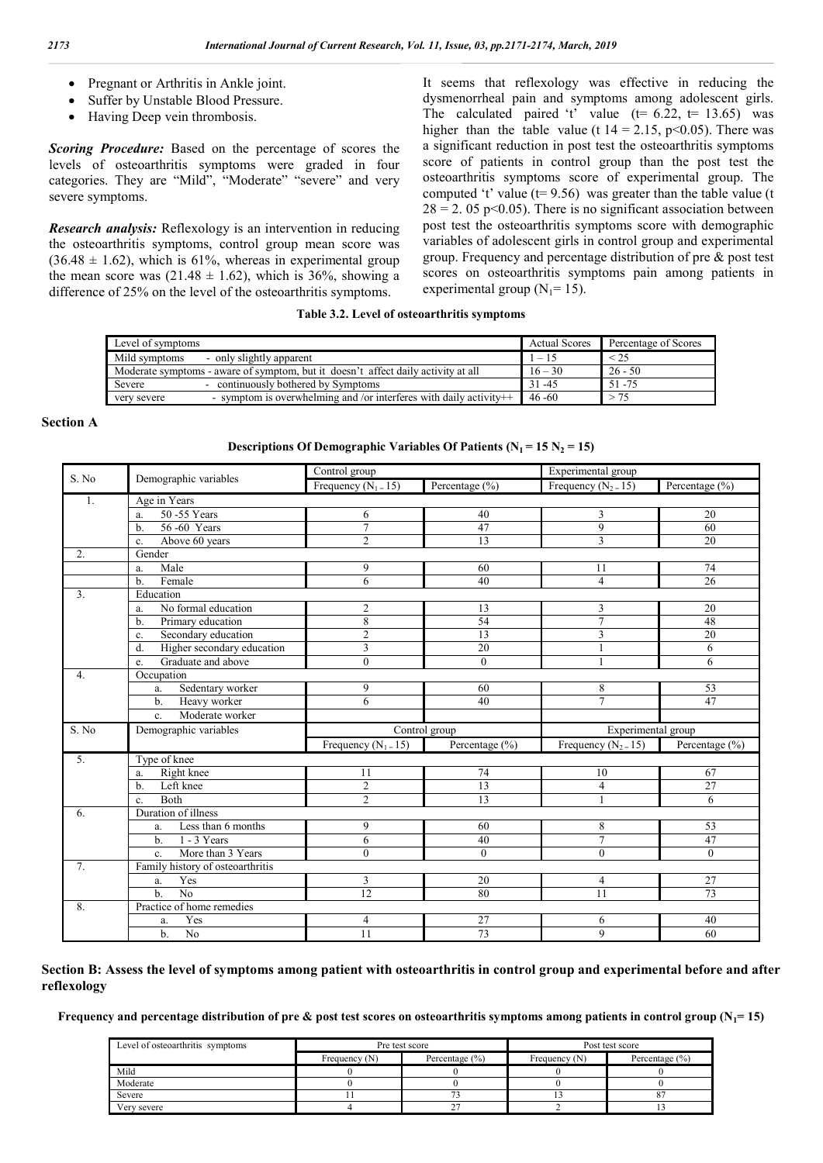- Pregnant or Arthritis in Ankle joint.
- Suffer by Unstable Blood Pressure.
- Having Deep vein thrombosis.

*Scoring Procedure:* Based on the percentage of scores the levels of osteoarthritis symptoms were graded in four categories. They are "Mild", "Moderate" "severe" and very severe symptoms.

*Research analysis:* Reflexology is an intervention in reducing the osteoarthritis symptoms, control group mean score was  $(36.48 \pm 1.62)$ , which is 61%, whereas in experimental group the mean score was  $(21.48 \pm 1.62)$ , which is 36%, showing a difference of 25% on the level of the osteoarthritis symptoms.

It seems that reflexology was effective in reducing the dysmenorrheal pain and symptoms among adolescent girls. The calculated paired 't' value  $(t= 6.22, t= 13.65)$  was higher than the table value (t  $14 = 2.15$ , p<0.05). There was a significant reduction in post test the osteoarthritis symptoms score of patients in control group than the post test the osteoarthritis symptoms score of experimental group. The computed 't' value ( $t= 9.56$ ) was greater than the table value (t  $28 = 2.05$  p<0.05). There is no significant association between post test the osteoarthritis symptoms score with demographic variables of adolescent girls in control group and experimental group. Frequency and percentage distribution of pre & post test scores on osteoarthritis symptoms pain among patients in experimental group ( $N_1$ = 15).

#### **Table 3.2. Level of osteoarthritis symptoms**

| Level of symptoms                                                                 | <b>Actual Scores</b> | Percentage of Scores |
|-----------------------------------------------------------------------------------|----------------------|----------------------|
| Mild symptoms<br>- only slightly apparent                                         | $1 - 15$             | $\leq$ 2.5           |
| Moderate symptoms - aware of symptom, but it doesn't affect daily activity at all | $16 - 30$            | $26 - 50$            |
| - continuously bothered by Symptoms<br>Severe                                     | $31 - 45$            | 51 - 75              |
| - symptom is overwhelming and /or interferes with daily activity++<br>very severe | $46 - 60$            | > 75                 |

#### **Section A**

**Descriptions Of Demographic Variables Of Patients**  $(N_1 = 15 N_2 = 15)$ 

| S. No            | Demographic variables             | Control group          |                 | Experimental group     |                 |  |
|------------------|-----------------------------------|------------------------|-----------------|------------------------|-----------------|--|
|                  |                                   | Frequency $(N_1 = 15)$ | Percentage (%)  | Frequency $(N_2 = 15)$ | Percentage (%)  |  |
| 1.               | Age in Years                      |                        |                 |                        |                 |  |
|                  | 50 - 55 Years<br>a.               | 6                      | 40              | 3                      | 20              |  |
|                  | 56-60 Years<br>$b$                | 7                      | 47              | $\overline{9}$         | 60              |  |
|                  | Above 60 years<br>c.              | $\overline{c}$         | $\overline{13}$ | $\overline{3}$         | $\overline{20}$ |  |
| $\overline{2}$ . | Gender                            |                        |                 |                        |                 |  |
|                  | Male<br>a.                        | 9                      | 60              | 11                     | 74              |  |
|                  | Female<br>b.                      | 6                      | 40              | $\overline{4}$         | 26              |  |
| 3 <sub>1</sub>   | Education                         |                        |                 |                        |                 |  |
|                  | No formal education<br>a.         | $\overline{c}$         | 13              | 3                      | 20              |  |
|                  | Primary education<br>$b$          | 8                      | 54              | $\overline{7}$         | 48              |  |
|                  | Secondary education<br>c.         | $\overline{c}$         | 13              | 3                      | 20              |  |
|                  | Higher secondary education<br>d.  | 3                      | 20              |                        | 6               |  |
|                  | Graduate and above<br>e.          | $\theta$               | $\theta$        | $\mathbf{1}$           | 6               |  |
| 4.               | Occupation                        |                        |                 |                        |                 |  |
|                  | Sedentary worker<br>a.            | 9                      | 60              | 8                      | 53              |  |
|                  | Heavy worker<br>$b$               | 6                      | 40              | $\tau$                 | 47              |  |
|                  | Moderate worker<br>$\mathbf{c}$ . |                        |                 |                        |                 |  |
| S. No            | Demographic variables             |                        | Control group   | Experimental group     |                 |  |
|                  |                                   | Frequency $(N_1 = 15)$ | Percentage (%)  | Frequency $(N_2 = 15)$ | Percentage (%)  |  |
| 5 <sub>1</sub>   | Type of knee                      |                        |                 |                        |                 |  |
|                  | Right knee<br>a.                  | 11                     | 74              | 10                     | 67              |  |
|                  | Left knee<br>b.                   | $\overline{c}$         | 13              | $\overline{4}$         | $\overline{27}$ |  |
|                  | <b>Both</b><br>c.                 | $\overline{2}$         | 13              |                        | 6               |  |
| 6.               | Duration of illness               |                        |                 |                        |                 |  |
|                  | Less than 6 months<br>a.          | 9                      | 60              | 8                      | 53              |  |
|                  | $1 - 3$ Years<br>$b$              | 6                      | 40              | $\overline{7}$         | 47              |  |
|                  | More than 3 Years<br>c.           | $\theta$               | $\theta$        | $\theta$               | $\Omega$        |  |
| 7 <sub>1</sub>   | Family history of osteoarthritis  |                        |                 |                        |                 |  |
|                  | Yes<br>a.                         | 3                      | 20              | $\overline{4}$         | 27              |  |
|                  | $\overline{No}$<br>$b$            | 12                     | 80              | 11                     | 73              |  |
| 8.               | Practice of home remedies         |                        |                 |                        |                 |  |
|                  | Yes<br>a.                         | 4                      | 27              | 6                      | 40              |  |
|                  | $\overline{No}$<br>$b$            | 11                     | 73              | 9                      | 60              |  |

#### **Section B: Assess the level of symptoms among patient with osteoarthritis in control group and experimental before and after reflexology**

**Frequency and percentage distribution of pre & post test scores on osteoarthritis symptoms among patients in control group (** $N_1$ **= 15)** 

| Level of osteoarthritis symptoms |                 | Pre test score     | Post test score |                    |  |  |
|----------------------------------|-----------------|--------------------|-----------------|--------------------|--|--|
|                                  | Frequency $(N)$ | Percentage $(\% )$ | Frequency $(N)$ | Percentage $(\% )$ |  |  |
| Mild                             |                 |                    |                 |                    |  |  |
| Moderate                         |                 |                    |                 |                    |  |  |
| Severe                           |                 |                    |                 |                    |  |  |
| Very severe                      |                 |                    |                 |                    |  |  |